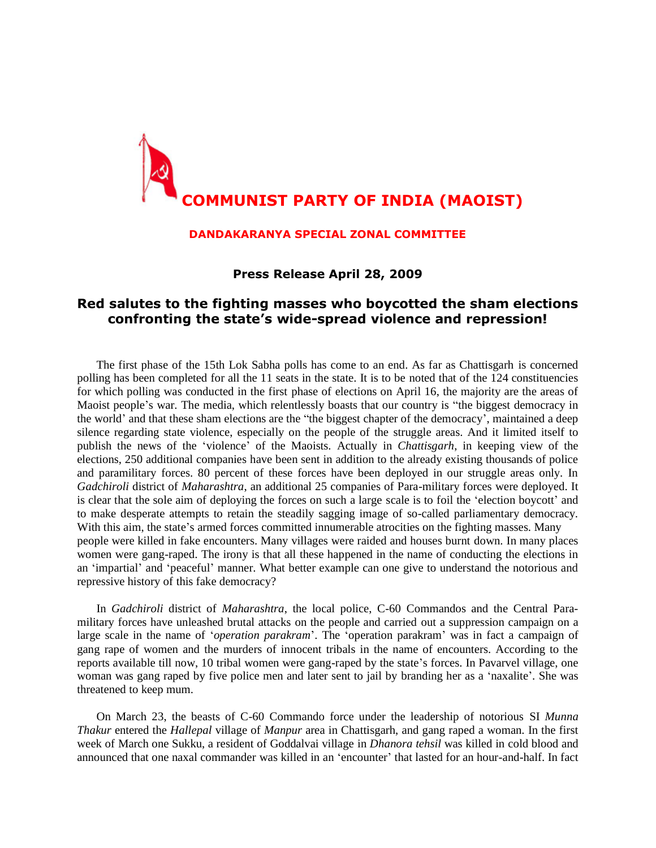

## **DANDAKARANYA SPECIAL ZONAL COMMITTEE**

**Press Release April 28, 2009**

## **Red salutes to the fighting masses who boycotted the sham elections confronting the state's wide-spread violence and repression!**

The first phase of the 15th Lok Sabha polls has come to an end. As far as Chattisgarh is concerned polling has been completed for all the 11 seats in the state. It is to be noted that of the 124 constituencies for which polling was conducted in the first phase of elections on April 16, the majority are the areas of Maoist people's war. The media, which relentlessly boasts that our country is "the biggest democracy in the world' and that these sham elections are the "the biggest chapter of the democracy', maintained a deep silence regarding state violence, especially on the people of the struggle areas. And it limited itself to publish the news of the 'violence' of the Maoists. Actually in *Chattisgarh*, in keeping view of the elections, 250 additional companies have been sent in addition to the already existing thousands of police and paramilitary forces. 80 percent of these forces have been deployed in our struggle areas only. In *Gadchiroli* district of *Maharashtra*, an additional 25 companies of Para-military forces were deployed. It is clear that the sole aim of deploying the forces on such a large scale is to foil the 'election boycott' and to make desperate attempts to retain the steadily sagging image of so-called parliamentary democracy. With this aim, the state's armed forces committed innumerable atrocities on the fighting masses. Many people were killed in fake encounters. Many villages were raided and houses burnt down. In many places women were gang-raped. The irony is that all these happened in the name of conducting the elections in an 'impartial' and 'peaceful' manner. What better example can one give to understand the notorious and repressive history of this fake democracy?

In *Gadchiroli* district of *Maharashtra*, the local police, C-60 Commandos and the Central Paramilitary forces have unleashed brutal attacks on the people and carried out a suppression campaign on a large scale in the name of '*operation parakram*'. The 'operation parakram' was in fact a campaign of gang rape of women and the murders of innocent tribals in the name of encounters. According to the reports available till now, 10 tribal women were gang-raped by the state's forces. In Pavarvel village, one woman was gang raped by five police men and later sent to jail by branding her as a 'naxalite'. She was threatened to keep mum.

On March 23, the beasts of C-60 Commando force under the leadership of notorious SI *Munna Thakur* entered the *Hallepal* village of *Manpur* area in Chattisgarh, and gang raped a woman. In the first week of March one Sukku, a resident of Goddalvai village in *Dhanora tehsil* was killed in cold blood and announced that one naxal commander was killed in an 'encounter' that lasted for an hour-and-half. In fact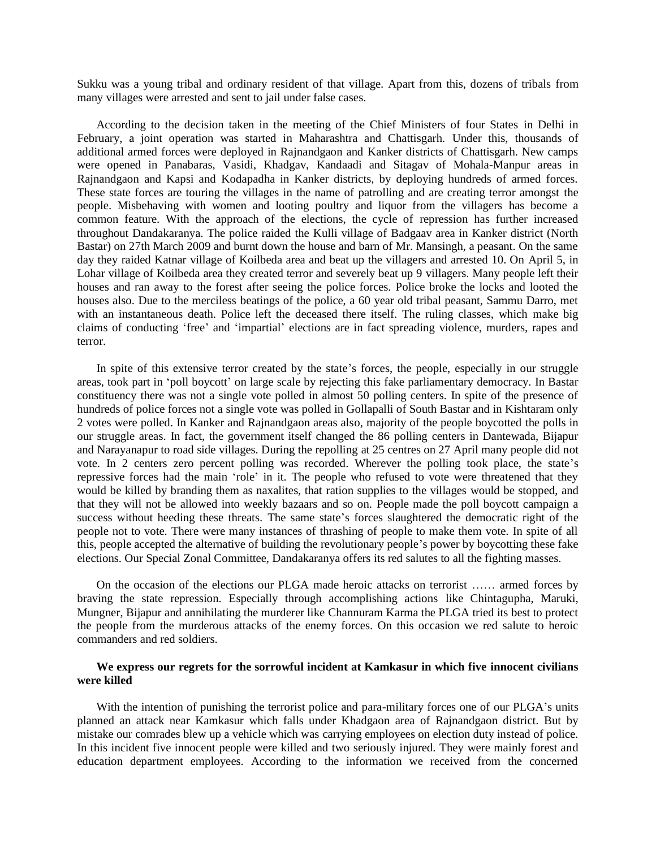Sukku was a young tribal and ordinary resident of that village. Apart from this, dozens of tribals from many villages were arrested and sent to jail under false cases.

According to the decision taken in the meeting of the Chief Ministers of four States in Delhi in February, a joint operation was started in Maharashtra and Chattisgarh. Under this, thousands of additional armed forces were deployed in Rajnandgaon and Kanker districts of Chattisgarh. New camps were opened in Panabaras, Vasidi, Khadgav, Kandaadi and Sitagav of Mohala-Manpur areas in Rajnandgaon and Kapsi and Kodapadha in Kanker districts, by deploying hundreds of armed forces. These state forces are touring the villages in the name of patrolling and are creating terror amongst the people. Misbehaving with women and looting poultry and liquor from the villagers has become a common feature. With the approach of the elections, the cycle of repression has further increased throughout Dandakaranya. The police raided the Kulli village of Badgaav area in Kanker district (North Bastar) on 27th March 2009 and burnt down the house and barn of Mr. Mansingh, a peasant. On the same day they raided Katnar village of Koilbeda area and beat up the villagers and arrested 10. On April 5, in Lohar village of Koilbeda area they created terror and severely beat up 9 villagers. Many people left their houses and ran away to the forest after seeing the police forces. Police broke the locks and looted the houses also. Due to the merciless beatings of the police, a 60 year old tribal peasant, Sammu Darro, met with an instantaneous death. Police left the deceased there itself. The ruling classes, which make big claims of conducting 'free' and 'impartial' elections are in fact spreading violence, murders, rapes and terror.

In spite of this extensive terror created by the state's forces, the people, especially in our struggle areas, took part in 'poll boycott' on large scale by rejecting this fake parliamentary democracy. In Bastar constituency there was not a single vote polled in almost 50 polling centers. In spite of the presence of hundreds of police forces not a single vote was polled in Gollapalli of South Bastar and in Kishtaram only 2 votes were polled. In Kanker and Rajnandgaon areas also, majority of the people boycotted the polls in our struggle areas. In fact, the government itself changed the 86 polling centers in Dantewada, Bijapur and Narayanapur to road side villages. During the repolling at 25 centres on 27 April many people did not vote. In 2 centers zero percent polling was recorded. Wherever the polling took place, the state's repressive forces had the main 'role' in it. The people who refused to vote were threatened that they would be killed by branding them as naxalites, that ration supplies to the villages would be stopped, and that they will not be allowed into weekly bazaars and so on. People made the poll boycott campaign a success without heeding these threats. The same state's forces slaughtered the democratic right of the people not to vote. There were many instances of thrashing of people to make them vote. In spite of all this, people accepted the alternative of building the revolutionary people's power by boycotting these fake elections. Our Special Zonal Committee, Dandakaranya offers its red salutes to all the fighting masses.

On the occasion of the elections our PLGA made heroic attacks on terrorist …… armed forces by braving the state repression. Especially through accomplishing actions like Chintagupha, Maruki, Mungner, Bijapur and annihilating the murderer like Channuram Karma the PLGA tried its best to protect the people from the murderous attacks of the enemy forces. On this occasion we red salute to heroic commanders and red soldiers.

## **We express our regrets for the sorrowful incident at Kamkasur in which five innocent civilians were killed**

With the intention of punishing the terrorist police and para-military forces one of our PLGA's units planned an attack near Kamkasur which falls under Khadgaon area of Rajnandgaon district. But by mistake our comrades blew up a vehicle which was carrying employees on election duty instead of police. In this incident five innocent people were killed and two seriously injured. They were mainly forest and education department employees. According to the information we received from the concerned